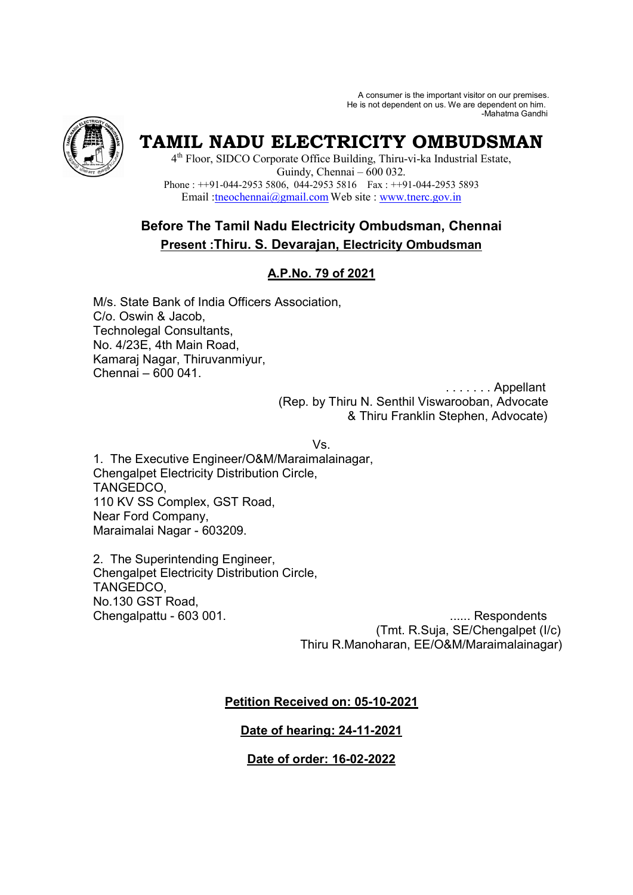A consumer is the important visitor on our premises. He is not dependent on us. We are dependent on him. -Mahatma Gandhi



# **TAMIL NADU ELECTRICITY OMBUDSMAN**

4 th Floor, SIDCO Corporate Office Building, Thiru-vi-ka Industrial Estate, Guindy, Chennai – 600 032. Phone : ++91-044-2953 5806, 044-2953 5816 Fax : ++91-044-2953 5893 Email :tneochennai@gmail.com Web site : www.tnerc.gov.in

# **Before The Tamil Nadu Electricity Ombudsman, Chennai Present :Thiru. S. Devarajan, Electricity Ombudsman**

# **A.P.No. 79 of 2021**

M/s. State Bank of India Officers Association, C/o. Oswin & Jacob, Technolegal Consultants, No. 4/23E, 4th Main Road, Kamaraj Nagar, Thiruvanmiyur, Chennai – 600 041.

 . . . . . . . Appellant (Rep. by Thiru N. Senthil Viswarooban, Advocate & Thiru Franklin Stephen, Advocate)

Vs.

1. The Executive Engineer/O&M/Maraimalainagar, Chengalpet Electricity Distribution Circle, TANGEDCO, 110 KV SS Complex, GST Road, Near Ford Company, Maraimalai Nagar - 603209.

2. The Superintending Engineer, Chengalpet Electricity Distribution Circle, TANGEDCO, No.130 GST Road,

Chengalpattu - 603 001. ...... Respondents (Tmt. R.Suja, SE/Chengalpet (I/c) Thiru R.Manoharan, EE/O&M/Maraimalainagar)

# **Petition Received on: 05-10-2021**

# **Date of hearing: 24-11-2021**

# **Date of order: 16-02-2022**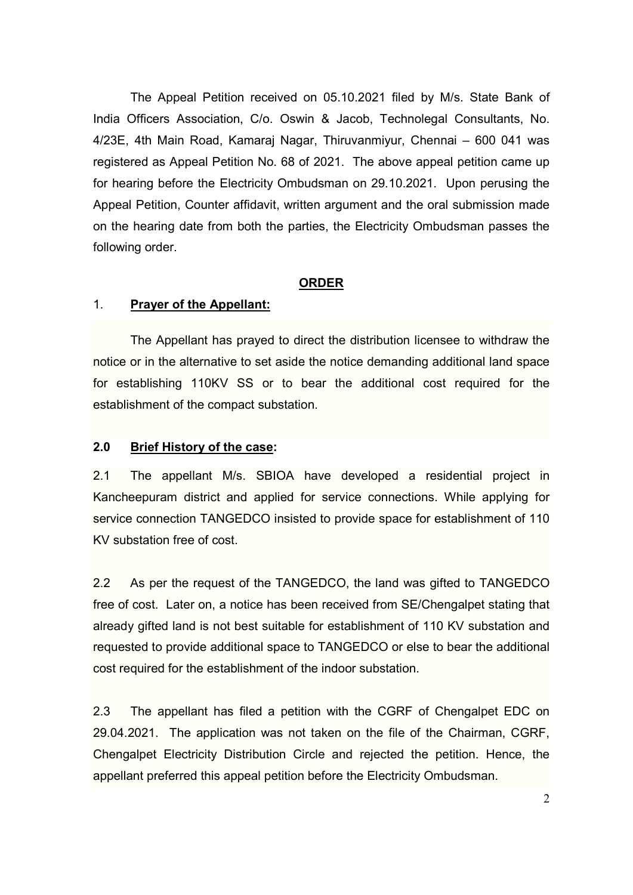The Appeal Petition received on 05.10.2021 filed by M/s. State Bank of India Officers Association, C/o. Oswin & Jacob, Technolegal Consultants, No. 4/23E, 4th Main Road, Kamaraj Nagar, Thiruvanmiyur, Chennai – 600 041 was registered as Appeal Petition No. 68 of 2021. The above appeal petition came up for hearing before the Electricity Ombudsman on 29.10.2021. Upon perusing the Appeal Petition, Counter affidavit, written argument and the oral submission made on the hearing date from both the parties, the Electricity Ombudsman passes the following order.

#### **ORDER**

#### 1. **Prayer of the Appellant:**

The Appellant has prayed to direct the distribution licensee to withdraw the notice or in the alternative to set aside the notice demanding additional land space for establishing 110KV SS or to bear the additional cost required for the establishment of the compact substation.

#### **2.0 Brief History of the case:**

2.1 The appellant M/s. SBIOA have developed a residential project in Kancheepuram district and applied for service connections. While applying for service connection TANGEDCO insisted to provide space for establishment of 110 KV substation free of cost.

2.2 As per the request of the TANGEDCO, the land was gifted to TANGEDCO free of cost. Later on, a notice has been received from SE/Chengalpet stating that already gifted land is not best suitable for establishment of 110 KV substation and requested to provide additional space to TANGEDCO or else to bear the additional cost required for the establishment of the indoor substation.

2.3 The appellant has filed a petition with the CGRF of Chengalpet EDC on 29.04.2021. The application was not taken on the file of the Chairman, CGRF, Chengalpet Electricity Distribution Circle and rejected the petition. Hence, the appellant preferred this appeal petition before the Electricity Ombudsman.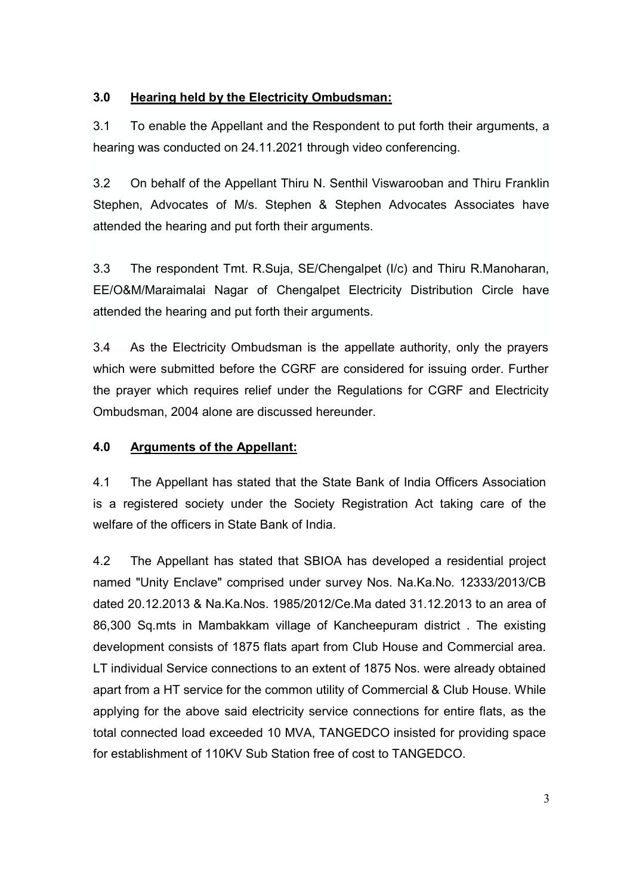# **3.0 Hearing held by the Electricity Ombudsman:**

3.1 To enable the Appellant and the Respondent to put forth their arguments, a hearing was conducted on 24.11.2021 through video conferencing.

3.2 On behalf of the Appellant Thiru N. Senthil Viswarooban and Thiru Franklin Stephen, Advocates of M/s. Stephen & Stephen Advocates Associates have attended the hearing and put forth their arguments.

3.3 The respondent Tmt. R.Suja, SE/Chengalpet (I/c) and Thiru R.Manoharan, EE/O&M/Maraimalai Nagar of Chengalpet Electricity Distribution Circle have attended the hearing and put forth their arguments.

3.4 As the Electricity Ombudsman is the appellate authority, only the prayers which were submitted before the CGRF are considered for issuing order. Further the prayer which requires relief under the Regulations for CGRF and Electricity Ombudsman, 2004 alone are discussed hereunder.

### **4.0 Arguments of the Appellant:**

4.1 The Appellant has stated that the State Bank of India Officers Association is a registered society under the Society Registration Act taking care of the welfare of the officers in State Bank of India.

4.2 The Appellant has stated that SBIOA has developed a residential project named "Unity Enclave" comprised under survey Nos. Na.Ka.No. 12333/2013/CB dated 20.12.2013 & Na.Ka.Nos. 1985/2012/Ce.Ma dated 31.12.2013 to an area of 86,300 Sq.mts in Mambakkam village of Kancheepuram district . The existing development consists of 1875 flats apart from Club House and Commercial area. LT individual Service connections to an extent of 1875 Nos. were already obtained apart from a HT service for the common utility of Commercial & Club House. While applying for the above said electricity service connections for entire flats, as the total connected load exceeded 10 MVA, TANGEDCO insisted for providing space for establishment of 110KV Sub Station free of cost to TANGEDCO.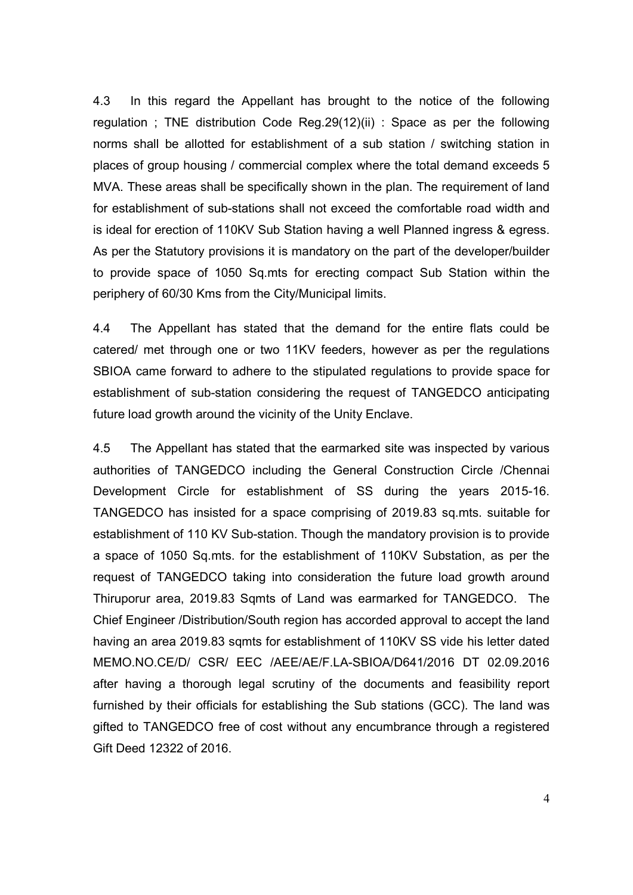4.3 In this regard the Appellant has brought to the notice of the following regulation ; TNE distribution Code Reg.29(12)(ii) : Space as per the following norms shall be allotted for establishment of a sub station / switching station in places of group housing / commercial complex where the total demand exceeds 5 MVA. These areas shall be specifically shown in the plan. The requirement of land for establishment of sub-stations shall not exceed the comfortable road width and is ideal for erection of 110KV Sub Station having a well Planned ingress & egress. As per the Statutory provisions it is mandatory on the part of the developer/builder to provide space of 1050 Sq.mts for erecting compact Sub Station within the periphery of 60/30 Kms from the City/Municipal limits.

4.4 The Appellant has stated that the demand for the entire flats could be catered/ met through one or two 11KV feeders, however as per the regulations SBIOA came forward to adhere to the stipulated regulations to provide space for establishment of sub-station considering the request of TANGEDCO anticipating future load growth around the vicinity of the Unity Enclave.

4.5 The Appellant has stated that the earmarked site was inspected by various authorities of TANGEDCO including the General Construction Circle /Chennai Development Circle for establishment of SS during the years 2015-16. TANGEDCO has insisted for a space comprising of 2019.83 sq.mts. suitable for establishment of 110 KV Sub-station. Though the mandatory provision is to provide a space of 1050 Sq.mts. for the establishment of 110KV Substation, as per the request of TANGEDCO taking into consideration the future load growth around Thiruporur area, 2019.83 Sqmts of Land was earmarked for TANGEDCO. The Chief Engineer /Distribution/South region has accorded approval to accept the land having an area 2019.83 sqmts for establishment of 110KV SS vide his letter dated MEMO.NO.CE/D/ CSR/ EEC /AEE/AE/F.LA-SBIOA/D641/2016 DT 02.09.2016 after having a thorough legal scrutiny of the documents and feasibility report furnished by their officials for establishing the Sub stations (GCC). The land was gifted to TANGEDCO free of cost without any encumbrance through a registered Gift Deed 12322 of 2016.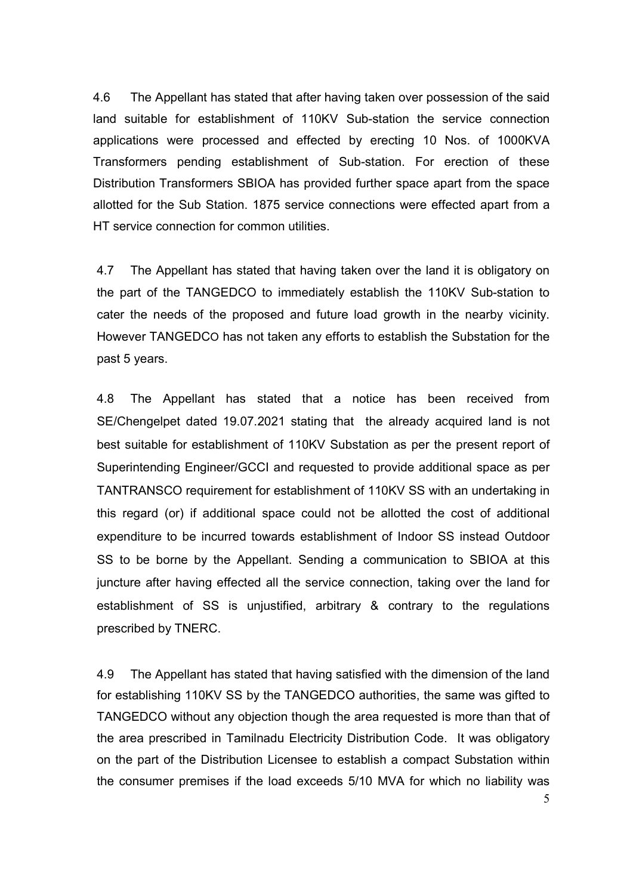4.6 The Appellant has stated that after having taken over possession of the said land suitable for establishment of 110KV Sub-station the service connection applications were processed and effected by erecting 10 Nos. of 1000KVA Transformers pending establishment of Sub-station. For erection of these Distribution Transformers SBIOA has provided further space apart from the space allotted for the Sub Station. 1875 service connections were effected apart from a HT service connection for common utilities.

4.7 The Appellant has stated that having taken over the land it is obligatory on the part of the TANGEDCO to immediately establish the 110KV Sub-station to cater the needs of the proposed and future load growth in the nearby vicinity. However TANGEDCO has not taken any efforts to establish the Substation for the past 5 years.

4.8 The Appellant has stated that a notice has been received from SE/Chengelpet dated 19.07.2021 stating that the already acquired land is not best suitable for establishment of 110KV Substation as per the present report of Superintending Engineer/GCCI and requested to provide additional space as per TANTRANSCO requirement for establishment of 110KV SS with an undertaking in this regard (or) if additional space could not be allotted the cost of additional expenditure to be incurred towards establishment of Indoor SS instead Outdoor SS to be borne by the Appellant. Sending a communication to SBIOA at this juncture after having effected all the service connection, taking over the land for establishment of SS is unjustified, arbitrary & contrary to the regulations prescribed by TNERC.

4.9 The Appellant has stated that having satisfied with the dimension of the land for establishing 110KV SS by the TANGEDCO authorities, the same was gifted to TANGEDCO without any objection though the area requested is more than that of the area prescribed in Tamilnadu Electricity Distribution Code. It was obligatory on the part of the Distribution Licensee to establish a compact Substation within the consumer premises if the load exceeds 5/10 MVA for which no liability was

5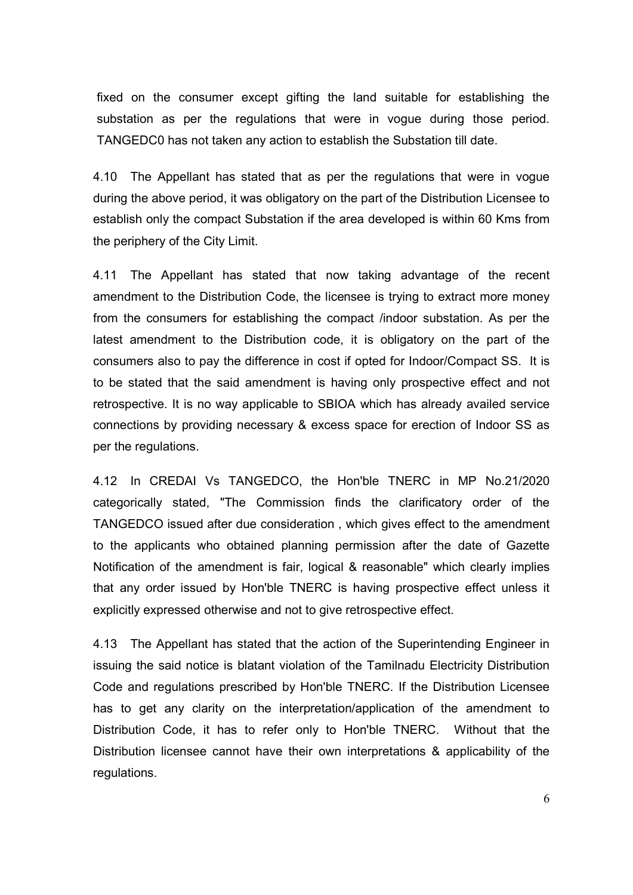fixed on the consumer except gifting the land suitable for establishing the substation as per the regulations that were in vogue during those period. TANGEDC0 has not taken any action to establish the Substation till date.

4.10 The Appellant has stated that as per the regulations that were in vogue during the above period, it was obligatory on the part of the Distribution Licensee to establish only the compact Substation if the area developed is within 60 Kms from the periphery of the City Limit.

4.11 The Appellant has stated that now taking advantage of the recent amendment to the Distribution Code, the licensee is trying to extract more money from the consumers for establishing the compact /indoor substation. As per the latest amendment to the Distribution code, it is obligatory on the part of the consumers also to pay the difference in cost if opted for Indoor/Compact SS. It is to be stated that the said amendment is having only prospective effect and not retrospective. It is no way applicable to SBIOA which has already availed service connections by providing necessary & excess space for erection of Indoor SS as per the regulations.

4.12 In CREDAI Vs TANGEDCO, the Hon'ble TNERC in MP No.21/2020 categorically stated, "The Commission finds the clarificatory order of the TANGEDCO issued after due consideration , which gives effect to the amendment to the applicants who obtained planning permission after the date of Gazette Notification of the amendment is fair, logical & reasonable" which clearly implies that any order issued by Hon'ble TNERC is having prospective effect unless it explicitly expressed otherwise and not to give retrospective effect.

4.13 The Appellant has stated that the action of the Superintending Engineer in issuing the said notice is blatant violation of the Tamilnadu Electricity Distribution Code and regulations prescribed by Hon'ble TNERC. If the Distribution Licensee has to get any clarity on the interpretation/application of the amendment to Distribution Code, it has to refer only to Hon'ble TNERC. Without that the Distribution licensee cannot have their own interpretations & applicability of the regulations.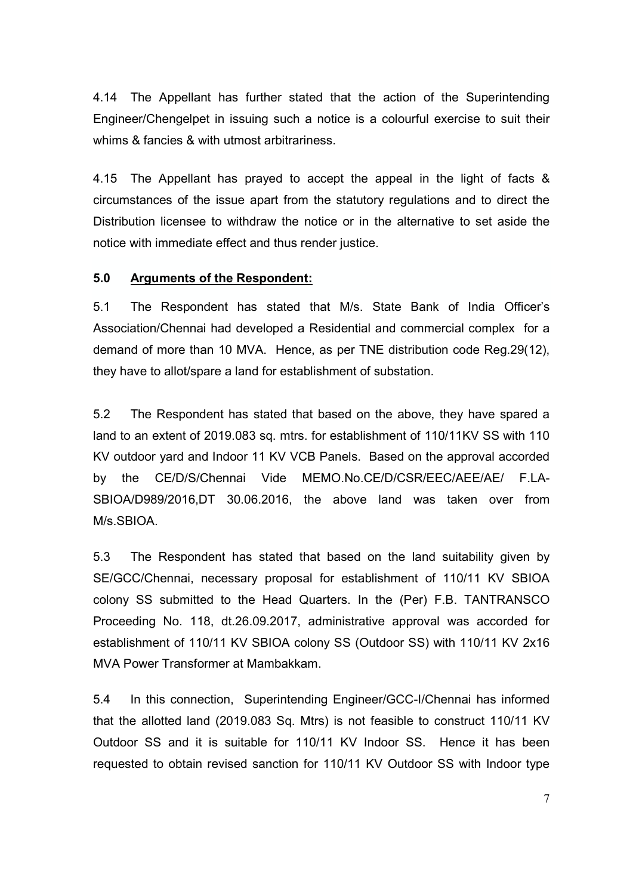4.14 The Appellant has further stated that the action of the Superintending Engineer/Chengelpet in issuing such a notice is a colourful exercise to suit their whims & fancies & with utmost arbitrariness.

4.15 The Appellant has prayed to accept the appeal in the light of facts & circumstances of the issue apart from the statutory regulations and to direct the Distribution licensee to withdraw the notice or in the alternative to set aside the notice with immediate effect and thus render justice.

#### **5.0 Arguments of the Respondent:**

5.1 The Respondent has stated that M/s. State Bank of India Officer's Association/Chennai had developed a Residential and commercial complex for a demand of more than 10 MVA. Hence, as per TNE distribution code Reg.29(12), they have to allot/spare a land for establishment of substation.

5.2 The Respondent has stated that based on the above, they have spared a land to an extent of 2019.083 sq. mtrs. for establishment of 110/11KV SS with 110 KV outdoor yard and Indoor 11 KV VCB Panels. Based on the approval accorded by the CE/D/S/Chennai Vide MEMO.No.CE/D/CSR/EEC/AEE/AE/ F.LA-SBIOA/D989/2016,DT 30.06.2016, the above land was taken over from M/s.SBIOA.

5.3 The Respondent has stated that based on the land suitability given by SE/GCC/Chennai, necessary proposal for establishment of 110/11 KV SBIOA colony SS submitted to the Head Quarters. In the (Per) F.B. TANTRANSCO Proceeding No. 118, dt.26.09.2017, administrative approval was accorded for establishment of 110/11 KV SBIOA colony SS (Outdoor SS) with 110/11 KV 2x16 MVA Power Transformer at Mambakkam.

5.4 In this connection, Superintending Engineer/GCC-I/Chennai has informed that the allotted land (2019.083 Sq. Mtrs) is not feasible to construct 110/11 KV Outdoor SS and it is suitable for 110/11 KV Indoor SS. Hence it has been requested to obtain revised sanction for 110/11 KV Outdoor SS with Indoor type

7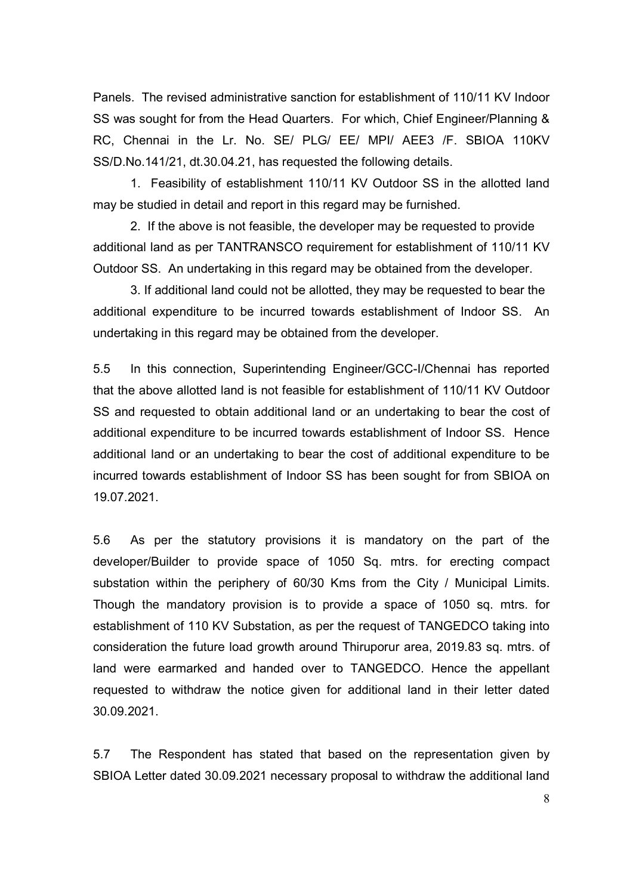Panels. The revised administrative sanction for establishment of 110/11 KV Indoor SS was sought for from the Head Quarters. For which, Chief Engineer/Planning & RC, Chennai in the Lr. No. SE/ PLG/ EE/ MPI/ AEE3 /F. SBIOA 110KV SS/D.No.141/21, dt.30.04.21, has requested the following details.

1. Feasibility of establishment 110/11 KV Outdoor SS in the allotted land may be studied in detail and report in this regard may be furnished.

2. If the above is not feasible, the developer may be requested to provide additional land as per TANTRANSCO requirement for establishment of 110/11 KV Outdoor SS. An undertaking in this regard may be obtained from the developer.

3. If additional land could not be allotted, they may be requested to bear the additional expenditure to be incurred towards establishment of Indoor SS. An undertaking in this regard may be obtained from the developer.

5.5 In this connection, Superintending Engineer/GCC-I/Chennai has reported that the above allotted land is not feasible for establishment of 110/11 KV Outdoor SS and requested to obtain additional land or an undertaking to bear the cost of additional expenditure to be incurred towards establishment of Indoor SS. Hence additional land or an undertaking to bear the cost of additional expenditure to be incurred towards establishment of Indoor SS has been sought for from SBIOA on 19.07.2021.

5.6 As per the statutory provisions it is mandatory on the part of the developer/Builder to provide space of 1050 Sq. mtrs. for erecting compact substation within the periphery of 60/30 Kms from the City / Municipal Limits. Though the mandatory provision is to provide a space of 1050 sq. mtrs. for establishment of 110 KV Substation, as per the request of TANGEDCO taking into consideration the future load growth around Thiruporur area, 2019.83 sq. mtrs. of land were earmarked and handed over to TANGEDCO. Hence the appellant requested to withdraw the notice given for additional land in their letter dated 30.09.2021.

5.7 The Respondent has stated that based on the representation given by SBIOA Letter dated 30.09.2021 necessary proposal to withdraw the additional land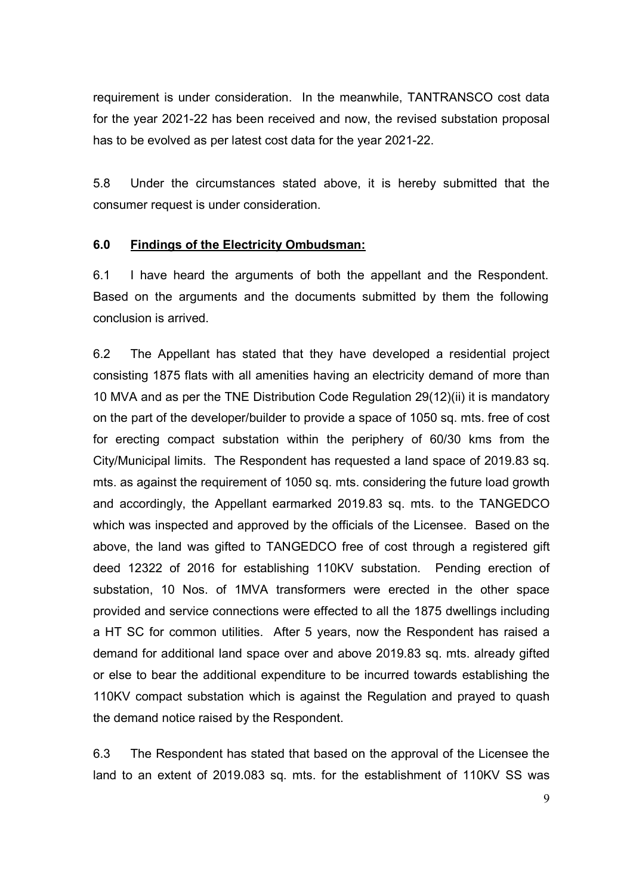requirement is under consideration. In the meanwhile, TANTRANSCO cost data for the year 2021-22 has been received and now, the revised substation proposal has to be evolved as per latest cost data for the year 2021-22.

5.8 Under the circumstances stated above, it is hereby submitted that the consumer request is under consideration.

#### **6.0 Findings of the Electricity Ombudsman:**

6.1 I have heard the arguments of both the appellant and the Respondent. Based on the arguments and the documents submitted by them the following conclusion is arrived.

6.2 The Appellant has stated that they have developed a residential project consisting 1875 flats with all amenities having an electricity demand of more than 10 MVA and as per the TNE Distribution Code Regulation 29(12)(ii) it is mandatory on the part of the developer/builder to provide a space of 1050 sq. mts. free of cost for erecting compact substation within the periphery of 60/30 kms from the City/Municipal limits. The Respondent has requested a land space of 2019.83 sq. mts. as against the requirement of 1050 sq. mts. considering the future load growth and accordingly, the Appellant earmarked 2019.83 sq. mts. to the TANGEDCO which was inspected and approved by the officials of the Licensee. Based on the above, the land was gifted to TANGEDCO free of cost through a registered gift deed 12322 of 2016 for establishing 110KV substation. Pending erection of substation, 10 Nos. of 1MVA transformers were erected in the other space provided and service connections were effected to all the 1875 dwellings including a HT SC for common utilities. After 5 years, now the Respondent has raised a demand for additional land space over and above 2019.83 sq. mts. already gifted or else to bear the additional expenditure to be incurred towards establishing the 110KV compact substation which is against the Regulation and prayed to quash the demand notice raised by the Respondent.

6.3 The Respondent has stated that based on the approval of the Licensee the land to an extent of 2019.083 sq. mts. for the establishment of 110KV SS was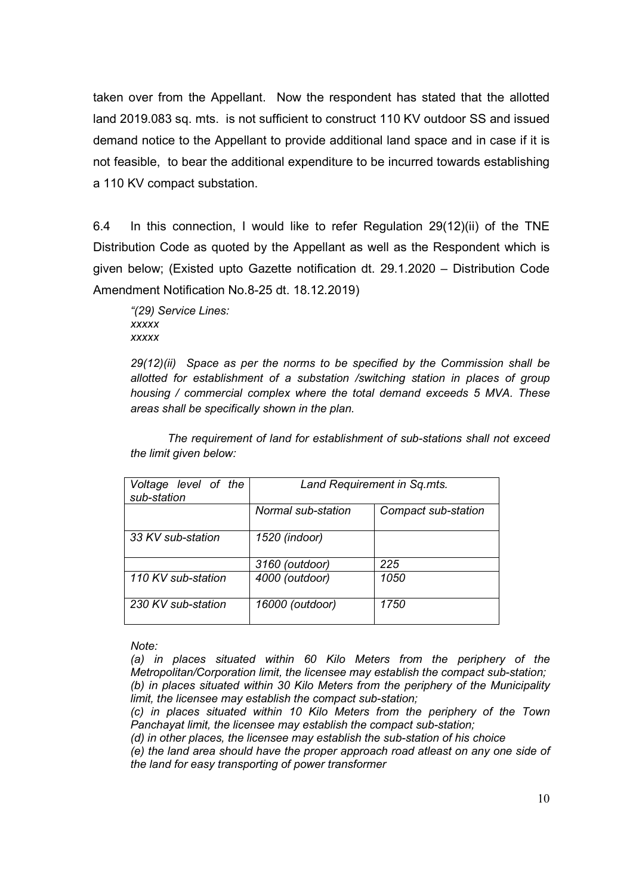taken over from the Appellant. Now the respondent has stated that the allotted land 2019.083 sq. mts. is not sufficient to construct 110 KV outdoor SS and issued demand notice to the Appellant to provide additional land space and in case if it is not feasible, to bear the additional expenditure to be incurred towards establishing a 110 KV compact substation.

6.4 In this connection, I would like to refer Regulation 29(12)(ii) of the TNE Distribution Code as quoted by the Appellant as well as the Respondent which is given below; (Existed upto Gazette notification dt. 29.1.2020 – Distribution Code Amendment Notification No.8-25 dt. 18.12.2019)

 *"(29) Service Lines: xxxxx xxxxx* 

*29(12)(ii) Space as per the norms to be specified by the Commission shall be allotted for establishment of a substation /switching station in places of group housing / commercial complex where the total demand exceeds 5 MVA. These areas shall be specifically shown in the plan.* 

*The requirement of land for establishment of sub-stations shall not exceed the limit given below:* 

| Voltage level of the<br>sub-station | Land Requirement in Sq.mts. |                     |
|-------------------------------------|-----------------------------|---------------------|
|                                     | Normal sub-station          | Compact sub-station |
| 33 KV sub-station                   | 1520 (indoor)               |                     |
|                                     | 3160 (outdoor)              | 225                 |
| 110 KV sub-station                  | 4000 (outdoor)              | 1050                |
| 230 KV sub-station                  | 16000 (outdoor)             | 1750                |

#### *Note:*

*(a) in places situated within 60 Kilo Meters from the periphery of the Metropolitan/Corporation limit, the licensee may establish the compact sub-station; (b) in places situated within 30 Kilo Meters from the periphery of the Municipality limit, the licensee may establish the compact sub-station;* 

*(c) in places situated within 10 Kilo Meters from the periphery of the Town Panchayat limit, the licensee may establish the compact sub-station;* 

*(d) in other places, the licensee may establish the sub-station of his choice* 

*(e) the land area should have the proper approach road atleast on any one side of the land for easy transporting of power transformer*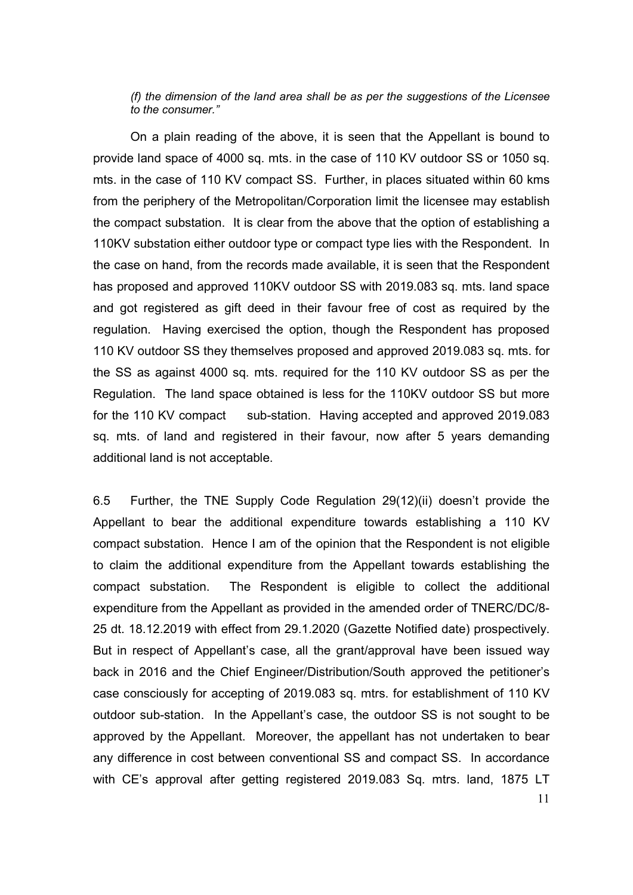*(f) the dimension of the land area shall be as per the suggestions of the Licensee to the consumer."*

 On a plain reading of the above, it is seen that the Appellant is bound to provide land space of 4000 sq. mts. in the case of 110 KV outdoor SS or 1050 sq. mts. in the case of 110 KV compact SS. Further, in places situated within 60 kms from the periphery of the Metropolitan/Corporation limit the licensee may establish the compact substation. It is clear from the above that the option of establishing a 110KV substation either outdoor type or compact type lies with the Respondent. In the case on hand, from the records made available, it is seen that the Respondent has proposed and approved 110KV outdoor SS with 2019.083 sq. mts. land space and got registered as gift deed in their favour free of cost as required by the regulation. Having exercised the option, though the Respondent has proposed 110 KV outdoor SS they themselves proposed and approved 2019.083 sq. mts. for the SS as against 4000 sq. mts. required for the 110 KV outdoor SS as per the Regulation. The land space obtained is less for the 110KV outdoor SS but more for the 110 KV compact sub-station. Having accepted and approved 2019.083 sq. mts. of land and registered in their favour, now after 5 years demanding additional land is not acceptable.

6.5 Further, the TNE Supply Code Regulation 29(12)(ii) doesn't provide the Appellant to bear the additional expenditure towards establishing a 110 KV compact substation. Hence I am of the opinion that the Respondent is not eligible to claim the additional expenditure from the Appellant towards establishing the compact substation. The Respondent is eligible to collect the additional expenditure from the Appellant as provided in the amended order of TNERC/DC/8- 25 dt. 18.12.2019 with effect from 29.1.2020 (Gazette Notified date) prospectively. But in respect of Appellant's case, all the grant/approval have been issued way back in 2016 and the Chief Engineer/Distribution/South approved the petitioner's case consciously for accepting of 2019.083 sq. mtrs. for establishment of 110 KV outdoor sub-station. In the Appellant's case, the outdoor SS is not sought to be approved by the Appellant. Moreover, the appellant has not undertaken to bear any difference in cost between conventional SS and compact SS. In accordance with CE's approval after getting registered 2019.083 Sq. mtrs. land, 1875 LT

11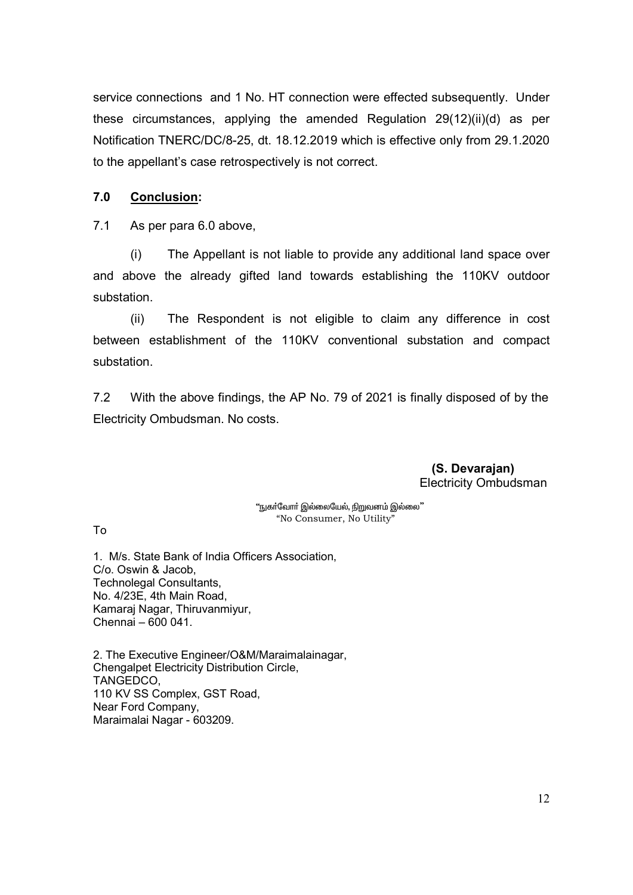service connections and 1 No. HT connection were effected subsequently. Under these circumstances, applying the amended Regulation 29(12)(ii)(d) as per Notification TNERC/DC/8-25, dt. 18.12.2019 which is effective only from 29.1.2020 to the appellant's case retrospectively is not correct.

#### **7.0 Conclusion:**

7.1 As per para 6.0 above,

 (i) The Appellant is not liable to provide any additional land space over and above the already gifted land towards establishing the 110KV outdoor substation.

 (ii) The Respondent is not eligible to claim any difference in cost between establishment of the 110KV conventional substation and compact substation.

7.2 With the above findings, the AP No. 79 of 2021 is finally disposed of by the Electricity Ombudsman. No costs.

> **(S. Devarajan)**  Electricity Ombudsman

"நுகர்வோர் இல்லையேல், நிறுவனம் இல்லை" "No Consumer, No Utility"

To

1. M/s. State Bank of India Officers Association, C/o. Oswin & Jacob, Technolegal Consultants, No. 4/23E, 4th Main Road, Kamaraj Nagar, Thiruvanmiyur, Chennai – 600 041.

2. The Executive Engineer/O&M/Maraimalainagar, Chengalpet Electricity Distribution Circle, TANGEDCO, 110 KV SS Complex, GST Road, Near Ford Company, Maraimalai Nagar - 603209.